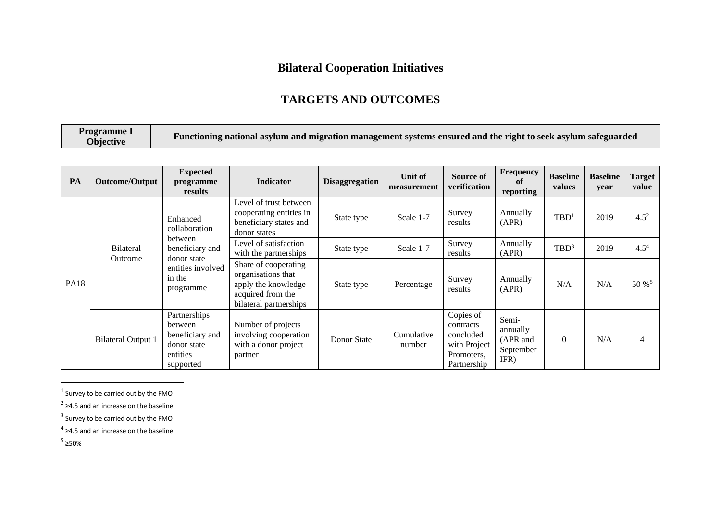## **Bilateral Cooperation Initiatives**

## **TARGETS AND OUTCOMES**

| Programme I<br>Objective | Functioning national asylum and migration management systems ensured and the right to seek asylum safeguarded |
|--------------------------|---------------------------------------------------------------------------------------------------------------|
|--------------------------|---------------------------------------------------------------------------------------------------------------|

| PA          | Outcome/Output              | <b>Expected</b><br>programme<br>results                                               | <b>Indicator</b>                                                                                                 | <b>Disaggregation</b> | Unit of<br>measurement | Source of<br>verification                                                        | Frequency<br>of<br>reporting                       | <b>Baseline</b><br>values | <b>Baseline</b><br>year | Target<br>value   |
|-------------|-----------------------------|---------------------------------------------------------------------------------------|------------------------------------------------------------------------------------------------------------------|-----------------------|------------------------|----------------------------------------------------------------------------------|----------------------------------------------------|---------------------------|-------------------------|-------------------|
| <b>PA18</b> | <b>Bilateral</b><br>Outcome | Enhanced<br>collaboration                                                             | Level of trust between<br>cooperating entities in<br>beneficiary states and<br>donor states                      | State type            | Scale 1-7              | Survey<br>results                                                                | Annually<br>(APR)                                  | TBD <sup>1</sup>          | 2019                    | $4.5^{2}$         |
|             |                             | between<br>beneficiary and<br>donor state<br>entities involved<br>in the<br>programme | Level of satisfaction<br>with the partnerships                                                                   | State type            | Scale 1-7              | Survey<br>results                                                                | Annually<br>(APR)                                  | TBD <sup>3</sup>          | 2019                    | $4.5^{4}$         |
|             |                             |                                                                                       | Share of cooperating<br>organisations that<br>apply the knowledge<br>acquired from the<br>bilateral partnerships | State type            | Percentage             | Survey<br>results                                                                | Annually<br>(APR)                                  | N/A                       | N/A                     | 50 % <sup>5</sup> |
|             | <b>Bilateral Output 1</b>   | Partnerships<br>between<br>beneficiary and<br>donor state<br>entities<br>supported    | Number of projects<br>involving cooperation<br>with a donor project<br>partner                                   | Donor State           | Cumulative<br>number   | Copies of<br>contracts<br>concluded<br>with Project<br>Promoters,<br>Partnership | Semi-<br>annually<br>(APR and<br>September<br>IFR) | $\Omega$                  | N/A                     | $\overline{4}$    |

 $<sup>1</sup>$  Survey to be carried out by the FMO</sup>

- <sup>2</sup> ≥4.5 and an increase on the baseline
- $3$  Survey to be carried out by the FMO

 $<sup>4</sup>$  ≥4.5 and an increase on the baseline</sup>

 $5$  ≥50%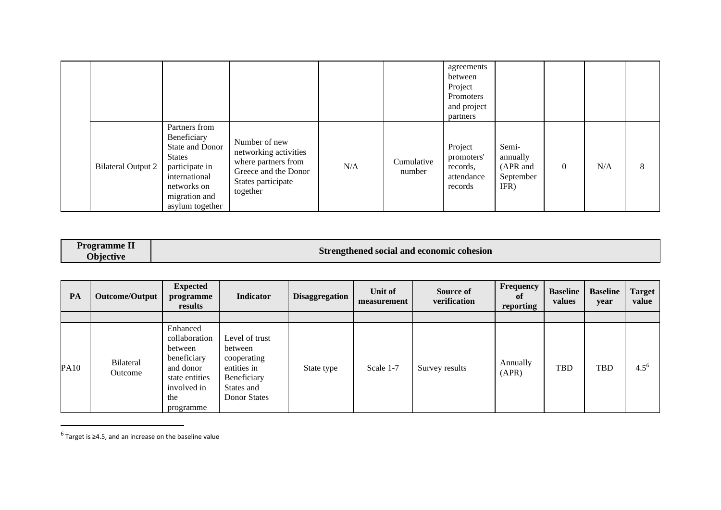|                           |                                                                                                                                                        |                                                                                                                         |     |                      | agreements<br>between<br>Project<br>Promoters<br>and project<br>partners |                                                    |          |     |   |
|---------------------------|--------------------------------------------------------------------------------------------------------------------------------------------------------|-------------------------------------------------------------------------------------------------------------------------|-----|----------------------|--------------------------------------------------------------------------|----------------------------------------------------|----------|-----|---|
| <b>Bilateral Output 2</b> | Partners from<br>Beneficiary<br>State and Donor<br><b>States</b><br>participate in<br>international<br>networks on<br>migration and<br>asylum together | Number of new<br>networking activities<br>where partners from<br>Greece and the Donor<br>States participate<br>together | N/A | Cumulative<br>number | Project<br>promoters'<br>records,<br>attendance<br>records               | Semi-<br>annually<br>(APR and<br>September<br>IFR) | $\Omega$ | N/A | 8 |

| Strengthened social and economic cohesion<br><b>Ohiective</b> | <b>Programme L</b> |
|---------------------------------------------------------------|--------------------|
|---------------------------------------------------------------|--------------------|

| PA          | Outcome/Output       | <b>Expected</b><br>programme<br>results                                                                               | <b>Indicator</b>                                                                                     | <b>Disaggregation</b> | Unit of<br>measurement | Source of<br>verification | Frequency<br>0ľ<br>reporting | <b>Baseline</b><br>values | <b>Baseline</b><br>year | <b>Target</b><br>value |
|-------------|----------------------|-----------------------------------------------------------------------------------------------------------------------|------------------------------------------------------------------------------------------------------|-----------------------|------------------------|---------------------------|------------------------------|---------------------------|-------------------------|------------------------|
|             |                      |                                                                                                                       |                                                                                                      |                       |                        |                           |                              |                           |                         |                        |
| <b>PA10</b> | Bilateral<br>Outcome | Enhanced<br>collaboration<br>between<br>beneficiary<br>and donor<br>state entities<br>involved in<br>the<br>programme | Level of trust<br>between<br>cooperating<br>entities in<br>Beneficiary<br>States and<br>Donor States | State type            | Scale 1-7              | Survey results            | Annually<br>(APR)            | TBD                       | <b>TBD</b>              | $4.5^{6}$              |

 $<sup>6</sup>$  Target is ≥4.5, and an increase on the baseline value</sup>